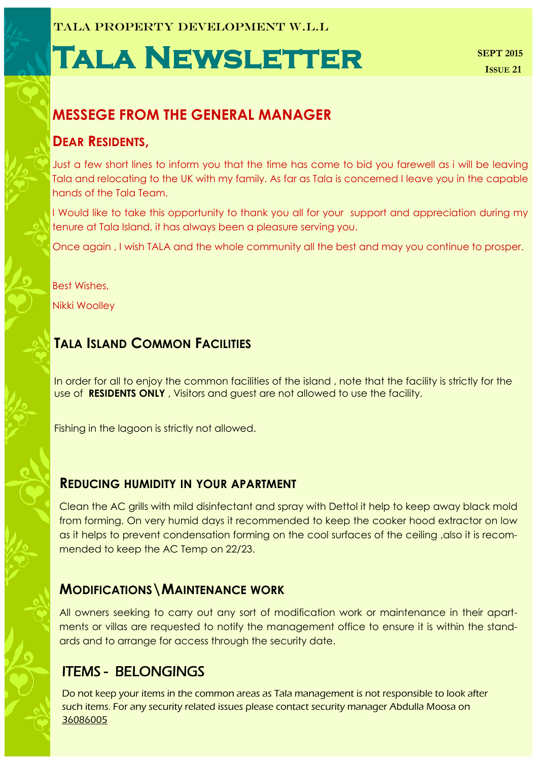# **Tala Newsletter**

# **MESSEGE FROM THE GENERAL MANAGER**

## **DEAR RESIDENTS,**

Just a few short lines to inform you that the time has come to bid you farewell as i will be leaving Tala and relocating to the UK with my family. As far as Tala is concerned I leave you in the capable hands of the Tala Team.

I Would like to take this opportunity to thank you all for your support and appreciation during my tenure at Tala Island, it has always been a pleasure serving you.

Once again , I wish TALA and the whole community all the best and may you continue to prosper.

Best Wishes, Nikki Woolley

# **TALA ISLAND COMMON FACILITIES**

In order for all to enjoy the common facilities of the island , note that the facility is strictly for the use of **RESIDENTS ONLY** , Visitors and guest are not allowed to use the facility.

Fishing in the lagoon is strictly not allowed.

## **REDUCING HUMIDITY IN YOUR APARTMENT**

Clean the AC grills with mild disinfectant and spray with Dettol it help to keep away black mold from forming. On very humid days it recommended to keep the cooker hood extractor on low as it helps to prevent condensation forming on the cool surfaces of the ceiling ,also it is recommended to keep the AC Temp on 22/23.

## **MODIFICATIONS\MAINTENANCE WORK**

All owners seeking to carry out any sort of modification work or maintenance in their apartments or villas are requested to notify the management office to ensure it is within the standards and to arrange for access through the security date.

## ITEMS - BELONGINGS

Do not keep your items in the common areas as Tala management is not responsible to look after such items. For any security related issues please contact security manager Abdulla Moosa on 36086005